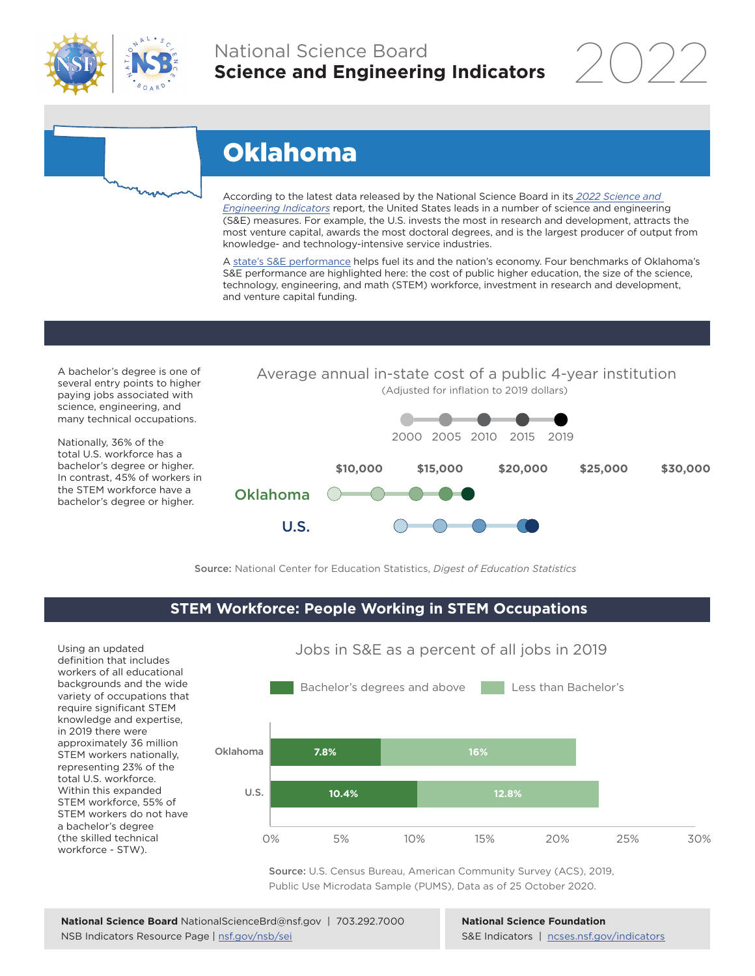

## National Science Board **Science and Engineering Indicators**

2022

# Oklahoma

According to the latest data released by the National Science Board in its *2022 Science and Engineering Indicators* report, the United States leads in a number of science and engineering (S&E) measures. For example, the U.S. invests the most in research and development, attracts the most venture capital, awards the most doctoral degrees, and is the largest producer of output from knowledge- and technology-intensive service industries.

A state's S&E performance helps fuel its and the nation's economy. Four benchmarks of Oklahoma's S&E performance are highlighted here: the cost of public higher education, the size of the science, technology, engineering, and math (STEM) workforce, investment in research and development, and venture capital funding.

A bachelor's degree is one of several entry points to higher paying jobs associated with science, engineering, and many technical occupations.

Nationally, 36% of the total U.S. workforce has a bachelor's degree or higher. In contrast, 45% of workers in the STEM workforce have a bachelor's degree or higher.



Average annual in-state cost of a public 4-year institution

Source: National Center for Education Statistics, *Digest of Education Statistics*

#### **STEM Workforce: People Working in STEM Occupations**

Using an updated definition that includes workers of all educational backgrounds and the wide variety of occupations that require significant STEM knowledge and expertise, in 2019 there were approximately 36 million STEM workers nationally, representing 23% of the total U.S. workforce. Within this expanded STEM workforce, 55% of STEM workers do not have a bachelor's degree (the skilled technical workforce - STW).



Jobs in S&E as a percent of all jobs in 2019

Source: U.S. Census Bureau, American Community Survey (ACS), 2019, Public Use Microdata Sample (PUMS), Data as of 25 October 2020.

**National Science Foundation** S&E Indicators | ncses.nsf.gov/indicators